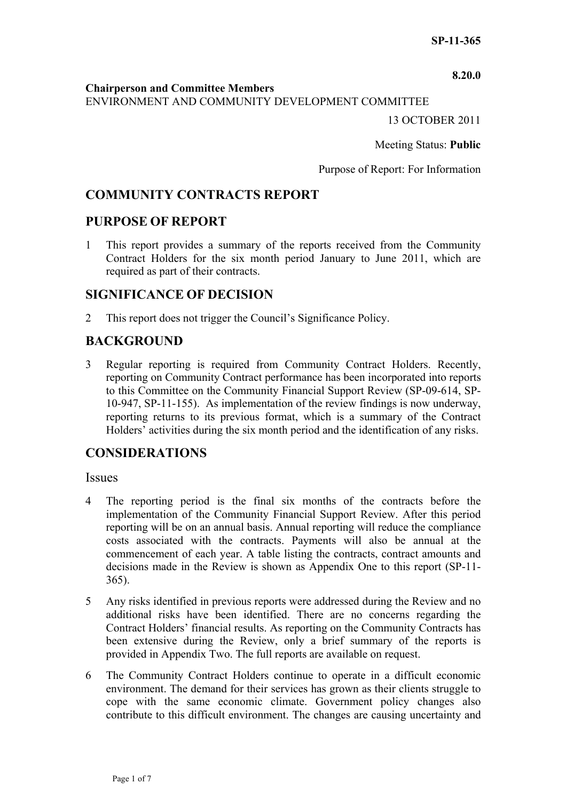**8.20.0**

#### **Chairperson and Committee Members**

ENVIRONMENT AND COMMUNITY DEVELOPMENT COMMITTEE

13 OCTOBER 2011

Meeting Status: **Public**

Purpose of Report: For Information

# **COMMUNITY CONTRACTS REPORT**

## **PURPOSE OF REPORT**

1 This report provides a summary of the reports received from the Community Contract Holders for the six month period January to June 2011, which are required as part of their contracts.

## **SIGNIFICANCE OF DECISION**

2 This report does not trigger the Council's Significance Policy.

# **BACKGROUND**

3 Regular reporting is required from Community Contract Holders. Recently, reporting on Community Contract performance has been incorporated into reports to this Committee on the Community Financial Support Review (SP-09-614, SP-10-947, SP-11-155). As implementation of the review findings is now underway, reporting returns to its previous format, which is a summary of the Contract Holders' activities during the six month period and the identification of any risks.

# **CONSIDERATIONS**

### **Issues**

- 4 The reporting period is the final six months of the contracts before the implementation of the Community Financial Support Review. After this period reporting will be on an annual basis. Annual reporting will reduce the compliance costs associated with the contracts. Payments will also be annual at the commencement of each year. A table listing the contracts, contract amounts and decisions made in the Review is shown as Appendix One to this report (SP-11- 365).
- 5 Any risks identified in previous reports were addressed during the Review and no additional risks have been identified. There are no concerns regarding the Contract Holders' financial results. As reporting on the Community Contracts has been extensive during the Review, only a brief summary of the reports is provided in Appendix Two. The full reports are available on request.
- 6 The Community Contract Holders continue to operate in a difficult economic environment. The demand for their services has grown as their clients struggle to cope with the same economic climate. Government policy changes also contribute to this difficult environment. The changes are causing uncertainty and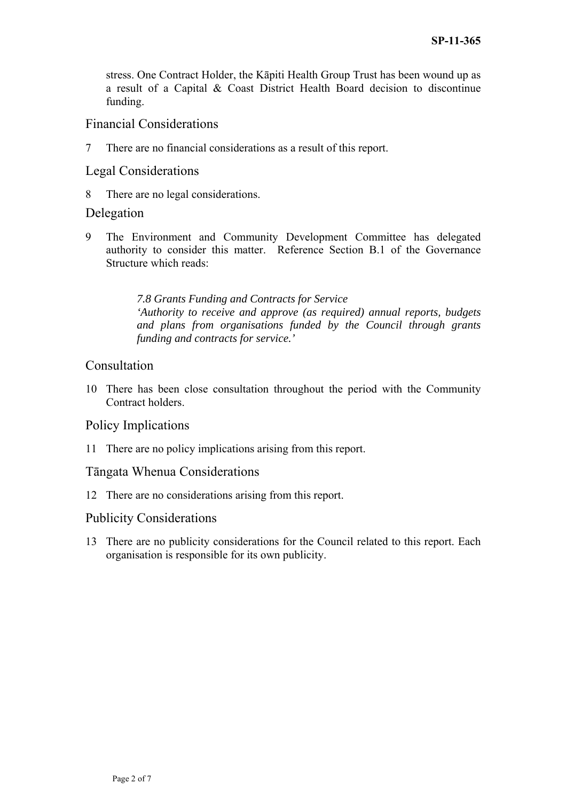stress. One Contract Holder, the Kāpiti Health Group Trust has been wound up as a result of a Capital & Coast District Health Board decision to discontinue funding.

# Financial Considerations

7 There are no financial considerations as a result of this report.

## Legal Considerations

8 There are no legal considerations.

## Delegation

9 The Environment and Community Development Committee has delegated authority to consider this matter. Reference Section B.1 of the Governance Structure which reads:

> *7.8 Grants Funding and Contracts for Service 'Authority to receive and approve (as required) annual reports, budgets and plans from organisations funded by the Council through grants funding and contracts for service.'*

## Consultation

10 There has been close consultation throughout the period with the Community Contract holders.

## Policy Implications

11 There are no policy implications arising from this report.

## Tāngata Whenua Considerations

12 There are no considerations arising from this report.

## Publicity Considerations

13 There are no publicity considerations for the Council related to this report. Each organisation is responsible for its own publicity.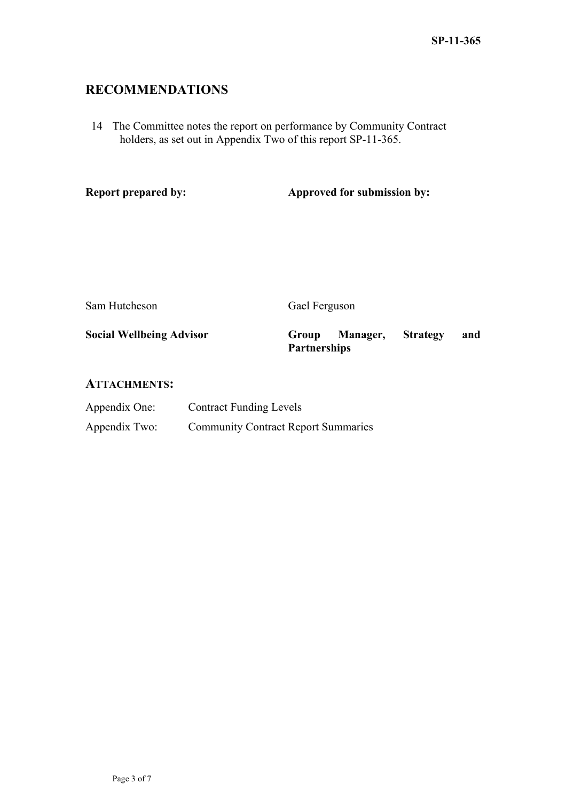# **RECOMMENDATIONS**

14 The Committee notes the report on performance by Community Contract holders, as set out in Appendix Two of this report SP-11-365.

**Report prepared by:** Approved for submission by:

Sam Hutcheson Gael Ferguson

**Social Wellbeing Advisor Group Manager, Strategy and Partnerships** 

### **ATTACHMENTS:**

| Appendix One: | <b>Contract Funding Levels</b>             |
|---------------|--------------------------------------------|
| Appendix Two: | <b>Community Contract Report Summaries</b> |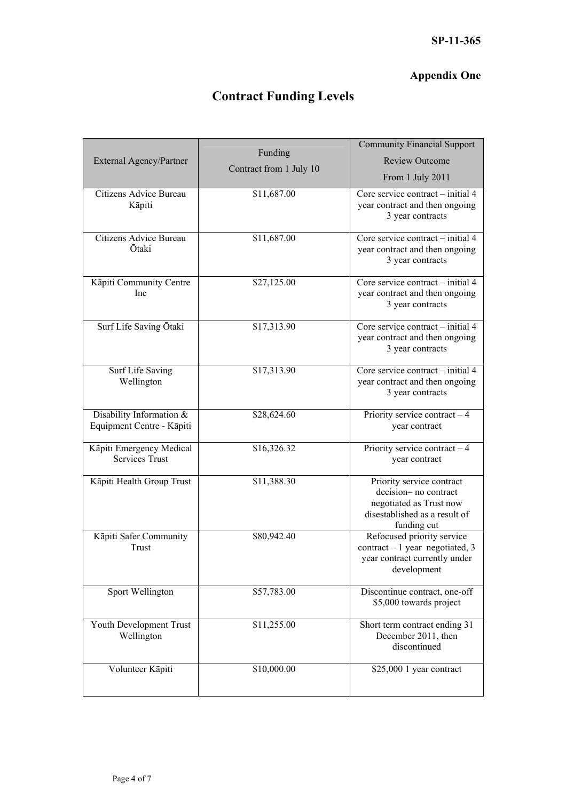# **Appendix One**

# **Contract Funding Levels**

| External Agency/Partner                               | Funding<br>Contract from 1 July 10 | <b>Community Financial Support</b><br><b>Review Outcome</b><br>From 1 July 2011                                              |
|-------------------------------------------------------|------------------------------------|------------------------------------------------------------------------------------------------------------------------------|
| Citizens Advice Bureau<br>Kāpiti                      | \$11,687.00                        | Core service contract – initial 4<br>year contract and then ongoing<br>3 year contracts                                      |
| Citizens Advice Bureau<br>Ōtaki                       | \$11,687.00                        | Core service contract – initial 4<br>year contract and then ongoing<br>3 year contracts                                      |
| Kāpiti Community Centre<br>Inc                        | \$27,125.00                        | Core service contract – initial 4<br>year contract and then ongoing<br>3 year contracts                                      |
| Surf Life Saving Ōtaki                                | \$17,313.90                        | Core service contract – initial 4<br>year contract and then ongoing<br>3 year contracts                                      |
| Surf Life Saving<br>Wellington                        | \$17,313.90                        | Core service contract - initial 4<br>year contract and then ongoing<br>3 year contracts                                      |
| Disability Information &<br>Equipment Centre - Kāpiti | \$28,624.60                        | Priority service contract $-4$<br>year contract                                                                              |
| Kāpiti Emergency Medical<br><b>Services Trust</b>     | \$16,326.32                        | Priority service contract $-4$<br>year contract                                                                              |
| Kāpiti Health Group Trust                             | \$11,388.30                        | Priority service contract<br>decision-no contract<br>negotiated as Trust now<br>disestablished as a result of<br>funding cut |
| Kāpiti Safer Community<br>Trust                       | \$80,942.40                        | Refocused priority service<br>$contract - 1 year$ negotiated, 3<br>year contract currently under<br>development              |
| Sport Wellington                                      | \$57,783.00                        | Discontinue contract, one-off<br>\$5,000 towards project                                                                     |
| Youth Development Trust<br>Wellington                 | \$11,255.00                        | Short term contract ending 31<br>December 2011, then<br>discontinued                                                         |
| Volunteer Kāpiti                                      | \$10,000.00                        | \$25,000 1 year contract                                                                                                     |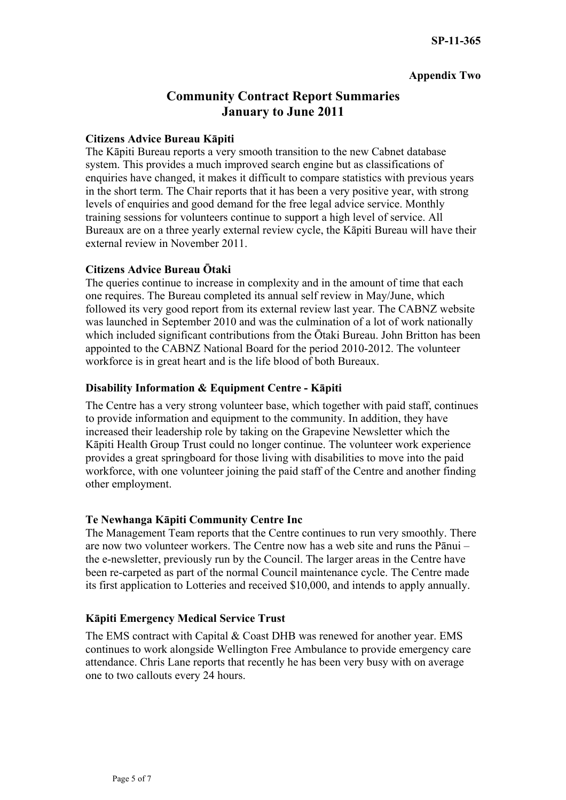## **Appendix Two**

# **Community Contract Report Summaries January to June 2011**

### **Citizens Advice Bureau Kāpiti**

The Kāpiti Bureau reports a very smooth transition to the new Cabnet database system. This provides a much improved search engine but as classifications of enquiries have changed, it makes it difficult to compare statistics with previous years in the short term. The Chair reports that it has been a very positive year, with strong levels of enquiries and good demand for the free legal advice service. Monthly training sessions for volunteers continue to support a high level of service. All Bureaux are on a three yearly external review cycle, the Kāpiti Bureau will have their external review in November 2011.

### **Citizens Advice Bureau Ōtaki**

The queries continue to increase in complexity and in the amount of time that each one requires. The Bureau completed its annual self review in May/June, which followed its very good report from its external review last year. The CABNZ website was launched in September 2010 and was the culmination of a lot of work nationally which included significant contributions from the Ōtaki Bureau. John Britton has been appointed to the CABNZ National Board for the period 2010-2012. The volunteer workforce is in great heart and is the life blood of both Bureaux.

### **Disability Information & Equipment Centre - Kāpiti**

The Centre has a very strong volunteer base, which together with paid staff, continues to provide information and equipment to the community. In addition, they have increased their leadership role by taking on the Grapevine Newsletter which the Kāpiti Health Group Trust could no longer continue. The volunteer work experience provides a great springboard for those living with disabilities to move into the paid workforce, with one volunteer joining the paid staff of the Centre and another finding other employment.

## **Te Newhanga Kāpiti Community Centre Inc**

The Management Team reports that the Centre continues to run very smoothly. There are now two volunteer workers. The Centre now has a web site and runs the Pānui – the e-newsletter, previously run by the Council. The larger areas in the Centre have been re-carpeted as part of the normal Council maintenance cycle. The Centre made its first application to Lotteries and received \$10,000, and intends to apply annually.

### **Kāpiti Emergency Medical Service Trust**

The EMS contract with Capital & Coast DHB was renewed for another year. EMS continues to work alongside Wellington Free Ambulance to provide emergency care attendance. Chris Lane reports that recently he has been very busy with on average one to two callouts every 24 hours.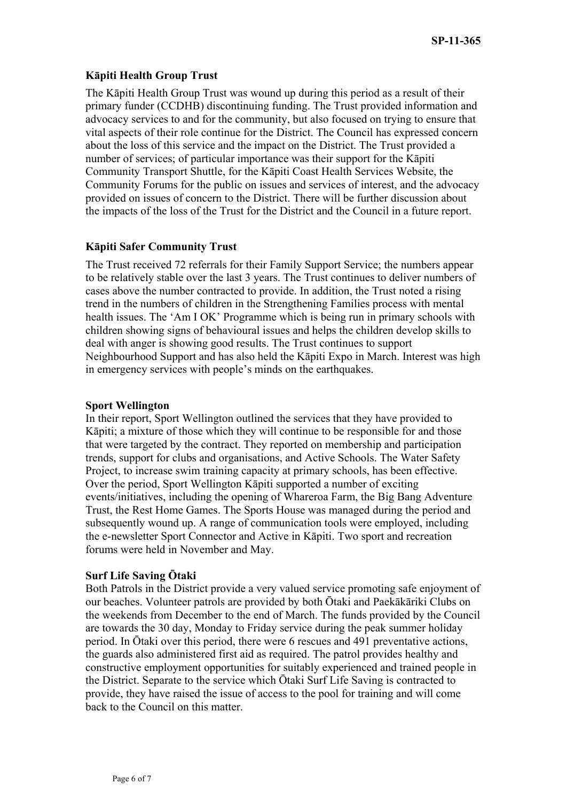### **Kāpiti Health Group Trust**

The Kāpiti Health Group Trust was wound up during this period as a result of their primary funder (CCDHB) discontinuing funding. The Trust provided information and advocacy services to and for the community, but also focused on trying to ensure that vital aspects of their role continue for the District. The Council has expressed concern about the loss of this service and the impact on the District. The Trust provided a number of services; of particular importance was their support for the Kāpiti Community Transport Shuttle, for the Kāpiti Coast Health Services Website, the Community Forums for the public on issues and services of interest, and the advocacy provided on issues of concern to the District. There will be further discussion about the impacts of the loss of the Trust for the District and the Council in a future report.

### **Kāpiti Safer Community Trust**

The Trust received 72 referrals for their Family Support Service; the numbers appear to be relatively stable over the last 3 years. The Trust continues to deliver numbers of cases above the number contracted to provide. In addition, the Trust noted a rising trend in the numbers of children in the Strengthening Families process with mental health issues. The 'Am I OK' Programme which is being run in primary schools with children showing signs of behavioural issues and helps the children develop skills to deal with anger is showing good results. The Trust continues to support Neighbourhood Support and has also held the Kāpiti Expo in March. Interest was high in emergency services with people's minds on the earthquakes.

### **Sport Wellington**

In their report, Sport Wellington outlined the services that they have provided to Kāpiti; a mixture of those which they will continue to be responsible for and those that were targeted by the contract. They reported on membership and participation trends, support for clubs and organisations, and Active Schools. The Water Safety Project, to increase swim training capacity at primary schools, has been effective. Over the period, Sport Wellington Kāpiti supported a number of exciting events/initiatives, including the opening of Whareroa Farm, the Big Bang Adventure Trust, the Rest Home Games. The Sports House was managed during the period and subsequently wound up. A range of communication tools were employed, including the e-newsletter Sport Connector and Active in Kāpiti. Two sport and recreation forums were held in November and May.

### **Surf Life Saving Ōtaki**

Both Patrols in the District provide a very valued service promoting safe enjoyment of our beaches. Volunteer patrols are provided by both Ōtaki and Paekākāriki Clubs on the weekends from December to the end of March. The funds provided by the Council are towards the 30 day, Monday to Friday service during the peak summer holiday period. In Ōtaki over this period, there were 6 rescues and 491 preventative actions, the guards also administered first aid as required. The patrol provides healthy and constructive employment opportunities for suitably experienced and trained people in the District. Separate to the service which Ōtaki Surf Life Saving is contracted to provide, they have raised the issue of access to the pool for training and will come back to the Council on this matter.